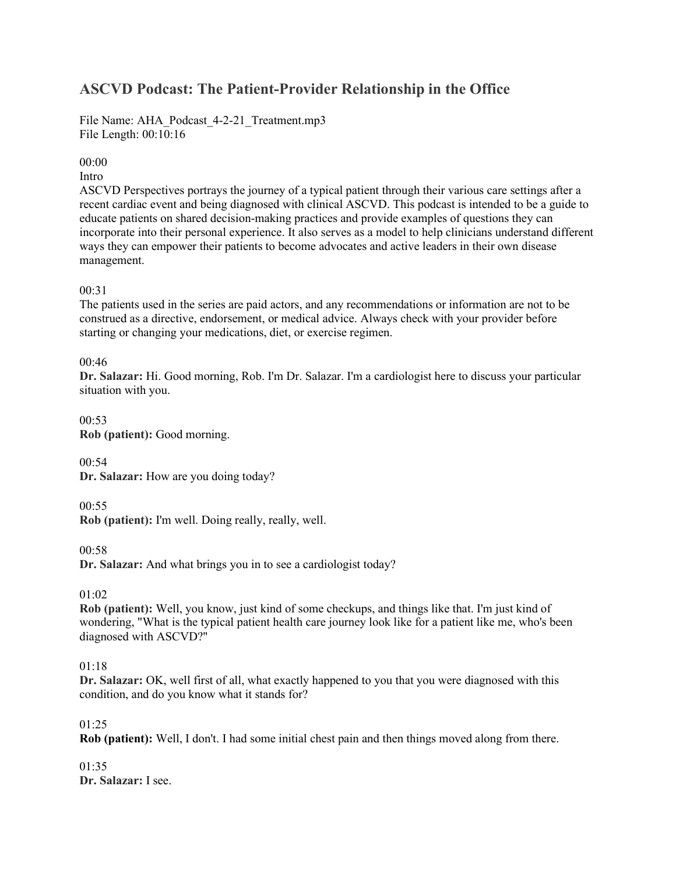# **ASCVD Podcast: The Patient-Provider Relationship in the Office**

File Name: AHA\_Podcast\_4-2-21\_Treatment.mp3 File Length: 00:10:16

# 00:00

# Intro

ASCVD Perspectives portrays the journey of a typical patient through their various care settings after a recent cardiac event and being diagnosed with clinical ASCVD. This podcast is intended to be a guide to educate patients on shared decision-making practices and provide examples of questions they can incorporate into their personal experience. It also serves as a model to help clinicians understand different ways they can empower their patients to become advocates and active leaders in their own disease management.

# 00:31

The patients used in the series are paid actors, and any recommendations or information are not to be construed as a directive, endorsement, or medical advice. Always check with your provider before starting or changing your medications, diet, or exercise regimen.

# 00:46

**Dr. Salazar:** Hi. Good morning, Rob. I'm Dr. Salazar. I'm a cardiologist here to discuss your particular situation with you.

00:53 **Rob (patient):** Good morning.

00:54 **Dr. Salazar:** How are you doing today?

00:55

**Rob (patient):** I'm well. Doing really, really, well.

00:58

**Dr. Salazar:** And what brings you in to see a cardiologist today?

01:02

**Rob (patient):** Well, you know, just kind of some checkups, and things like that. I'm just kind of wondering, "What is the typical patient health care journey look like for a patient like me, who's been diagnosed with ASCVD?"

# 01:18

**Dr. Salazar:** OK, well first of all, what exactly happened to you that you were diagnosed with this condition, and do you know what it stands for?

01:25

**Rob (patient):** Well, I don't. I had some initial chest pain and then things moved along from there.

01:35 **Dr. Salazar:** I see.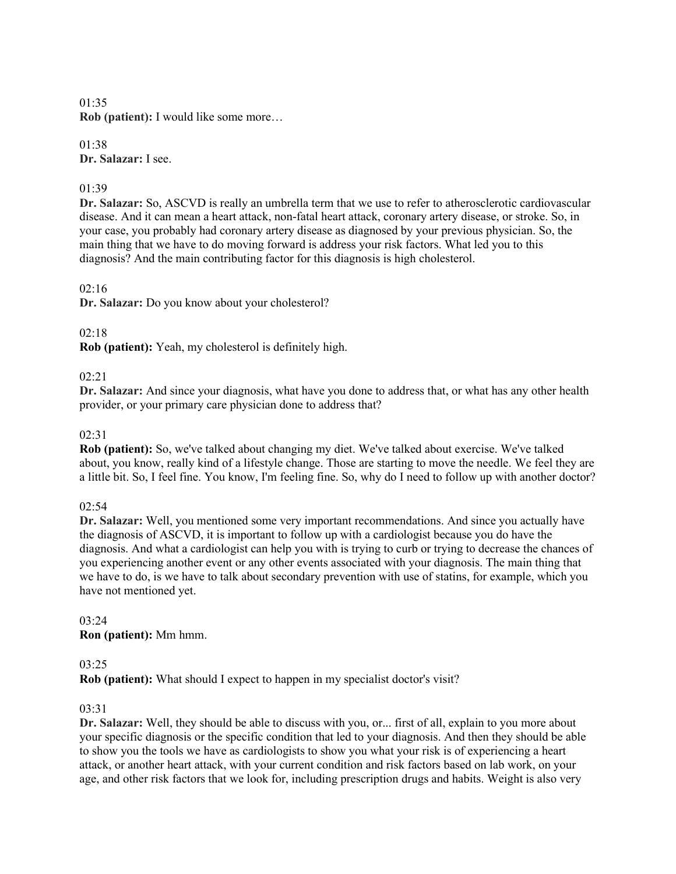01:35 **Rob (patient):** I would like some more…

01:38 **Dr. Salazar:** I see.

# 01:39

**Dr. Salazar:** So, ASCVD is really an umbrella term that we use to refer to atherosclerotic cardiovascular disease. And it can mean a heart attack, non-fatal heart attack, coronary artery disease, or stroke. So, in your case, you probably had coronary artery disease as diagnosed by your previous physician. So, the main thing that we have to do moving forward is address your risk factors. What led you to this diagnosis? And the main contributing factor for this diagnosis is high cholesterol.

# 02:16

**Dr. Salazar:** Do you know about your cholesterol?

# 02:18

**Rob (patient):** Yeah, my cholesterol is definitely high.

# 02:21

**Dr. Salazar:** And since your diagnosis, what have you done to address that, or what has any other health provider, or your primary care physician done to address that?

# $02:31$

**Rob (patient):** So, we've talked about changing my diet. We've talked about exercise. We've talked about, you know, really kind of a lifestyle change. Those are starting to move the needle. We feel they are a little bit. So, I feel fine. You know, I'm feeling fine. So, why do I need to follow up with another doctor?

# $02:54$

**Dr. Salazar:** Well, you mentioned some very important recommendations. And since you actually have the diagnosis of ASCVD, it is important to follow up with a cardiologist because you do have the diagnosis. And what a cardiologist can help you with is trying to curb or trying to decrease the chances of you experiencing another event or any other events associated with your diagnosis. The main thing that we have to do, is we have to talk about secondary prevention with use of statins, for example, which you have not mentioned yet.

# 03:24 **Ron (patient):** Mm hmm.

# 03:25

**Rob (patient):** What should I expect to happen in my specialist doctor's visit?

# 03:31

**Dr. Salazar:** Well, they should be able to discuss with you, or... first of all, explain to you more about your specific diagnosis or the specific condition that led to your diagnosis. And then they should be able to show you the tools we have as cardiologists to show you what your risk is of experiencing a heart attack, or another heart attack, with your current condition and risk factors based on lab work, on your age, and other risk factors that we look for, including prescription drugs and habits. Weight is also very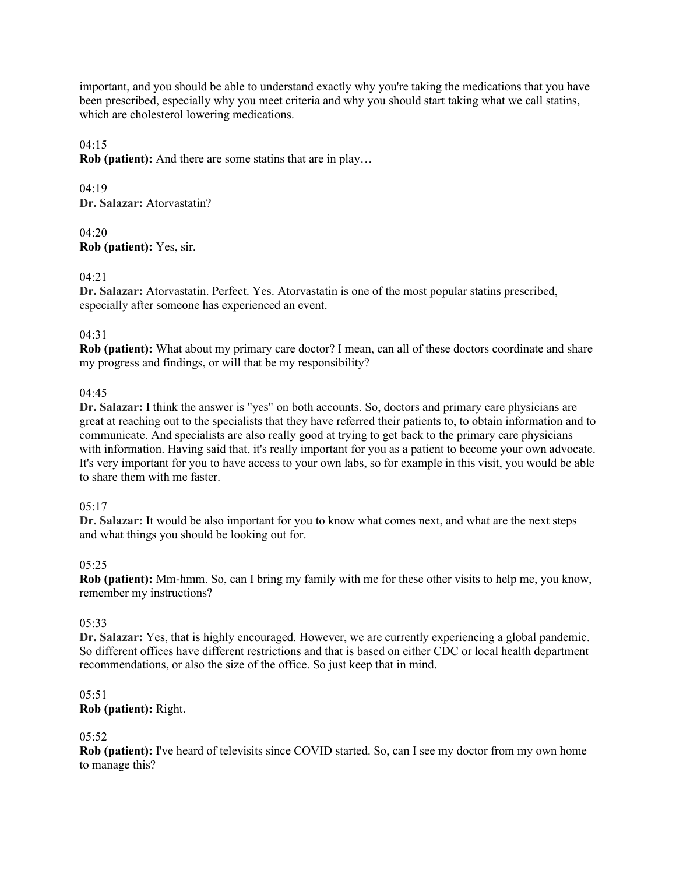important, and you should be able to understand exactly why you're taking the medications that you have been prescribed, especially why you meet criteria and why you should start taking what we call statins, which are cholesterol lowering medications.

04:15

**Rob (patient):** And there are some statins that are in play…

04:19 **Dr. Salazar:** Atorvastatin?

04:20 **Rob (patient):** Yes, sir.

### 04:21

**Dr. Salazar:** Atorvastatin. Perfect. Yes. Atorvastatin is one of the most popular statins prescribed, especially after someone has experienced an event.

# 04:31

**Rob (patient):** What about my primary care doctor? I mean, can all of these doctors coordinate and share my progress and findings, or will that be my responsibility?

### 04:45

**Dr. Salazar:** I think the answer is "yes" on both accounts. So, doctors and primary care physicians are great at reaching out to the specialists that they have referred their patients to, to obtain information and to communicate. And specialists are also really good at trying to get back to the primary care physicians with information. Having said that, it's really important for you as a patient to become your own advocate. It's very important for you to have access to your own labs, so for example in this visit, you would be able to share them with me faster.

#### $05:17$

**Dr. Salazar:** It would be also important for you to know what comes next, and what are the next steps and what things you should be looking out for.

#### 05:25

**Rob (patient):** Mm-hmm. So, can I bring my family with me for these other visits to help me, you know, remember my instructions?

#### 05:33

**Dr. Salazar:** Yes, that is highly encouraged. However, we are currently experiencing a global pandemic. So different offices have different restrictions and that is based on either CDC or local health department recommendations, or also the size of the office. So just keep that in mind.

#### 05:51 **Rob (patient):** Right.

# 05:52

**Rob (patient):** I've heard of televisits since COVID started. So, can I see my doctor from my own home to manage this?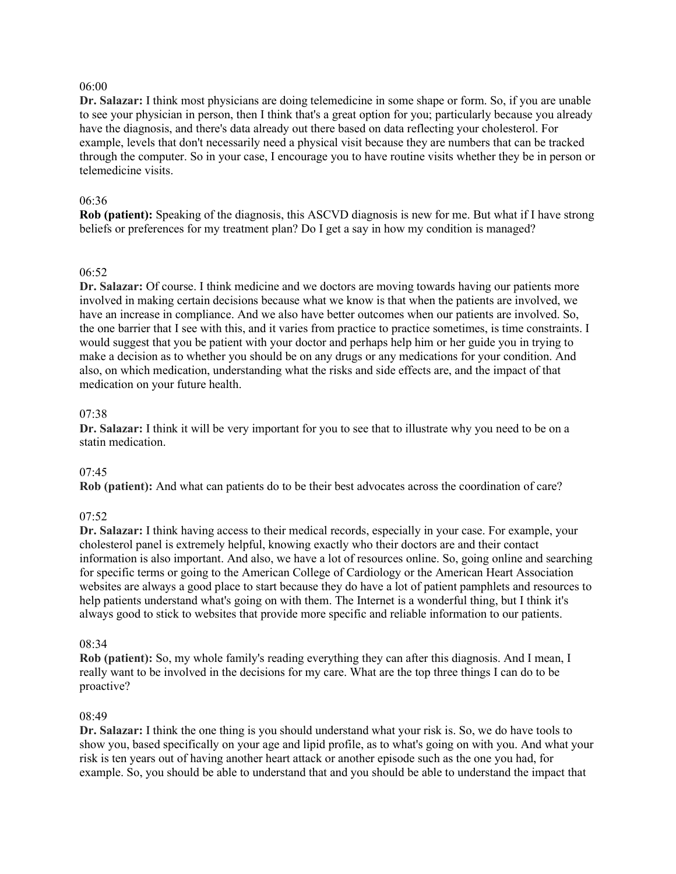### 06:00

**Dr. Salazar:** I think most physicians are doing telemedicine in some shape or form. So, if you are unable to see your physician in person, then I think that's a great option for you; particularly because you already have the diagnosis, and there's data already out there based on data reflecting your cholesterol. For example, levels that don't necessarily need a physical visit because they are numbers that can be tracked through the computer. So in your case, I encourage you to have routine visits whether they be in person or telemedicine visits.

### 06:36

**Rob (patient):** Speaking of the diagnosis, this ASCVD diagnosis is new for me. But what if I have strong beliefs or preferences for my treatment plan? Do I get a say in how my condition is managed?

### 06:52

**Dr. Salazar:** Of course. I think medicine and we doctors are moving towards having our patients more involved in making certain decisions because what we know is that when the patients are involved, we have an increase in compliance. And we also have better outcomes when our patients are involved. So, the one barrier that I see with this, and it varies from practice to practice sometimes, is time constraints. I would suggest that you be patient with your doctor and perhaps help him or her guide you in trying to make a decision as to whether you should be on any drugs or any medications for your condition. And also, on which medication, understanding what the risks and side effects are, and the impact of that medication on your future health.

### 07:38

**Dr. Salazar:** I think it will be very important for you to see that to illustrate why you need to be on a statin medication.

#### 07:45

**Rob (patient):** And what can patients do to be their best advocates across the coordination of care?

# 07:52

**Dr. Salazar:** I think having access to their medical records, especially in your case. For example, your cholesterol panel is extremely helpful, knowing exactly who their doctors are and their contact information is also important. And also, we have a lot of resources online. So, going online and searching for specific terms or going to the American College of Cardiology or the American Heart Association websites are always a good place to start because they do have a lot of patient pamphlets and resources to help patients understand what's going on with them. The Internet is a wonderful thing, but I think it's always good to stick to websites that provide more specific and reliable information to our patients.

#### 08:34

**Rob (patient):** So, my whole family's reading everything they can after this diagnosis. And I mean, I really want to be involved in the decisions for my care. What are the top three things I can do to be proactive?

#### 08:49

**Dr. Salazar:** I think the one thing is you should understand what your risk is. So, we do have tools to show you, based specifically on your age and lipid profile, as to what's going on with you. And what your risk is ten years out of having another heart attack or another episode such as the one you had, for example. So, you should be able to understand that and you should be able to understand the impact that